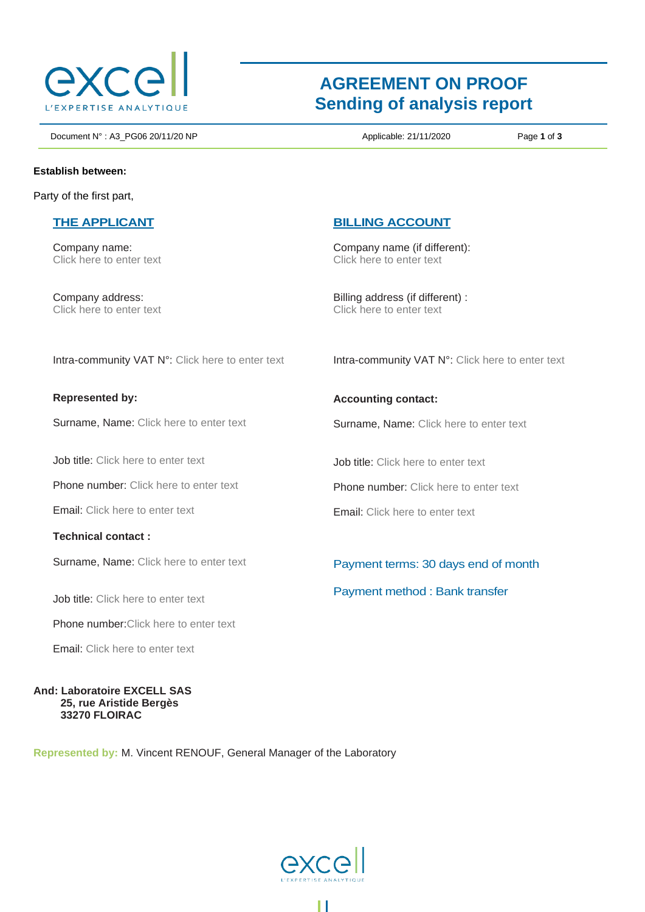

# **AGREEMENT ON PROOF Sending of analysis report**

Document N° : A3\_PG06 20/11/20 NP **Applicable: 21/11/2020** Page **1** of **3** 

**Establish between:**

Party of the first part,

#### **THE APPLICANT**

Company name: Click here to enter text

Company address: Click here to enter text

### **BILLING ACCOUNT**

Company name (if different): Click here to enter text

Billing address (if different) : Click here to enter text

Intra-community VAT N°: Click here to enter text

**Represented by:** 

Surname, Name: Click here to enter text

Job title: Click here to enter text

Phone number: Click here to enter text

Email: Click here to enter text

**Technical contact :**

Surname, Name: Click here to enter text

Job title: Click here to enter text

Phone number:Click here to enter text

Email: Click here to enter text

**And: Laboratoire EXCELL SAS 25, rue Aristide Bergès 33270 FLOIRAC**

**Represented by:** M. Vincent RENOUF, General Manager of the Laboratory



Н

**Accounting contact:**

Surname, Name: Click here to enter text

Intra-community VAT N°: Click here to enter text

Job title: Click here to enter text

Phone number: Click here to enter text

Email: Click here to enter text

Payment terms: 30 days end of month Payment method : Bank transfer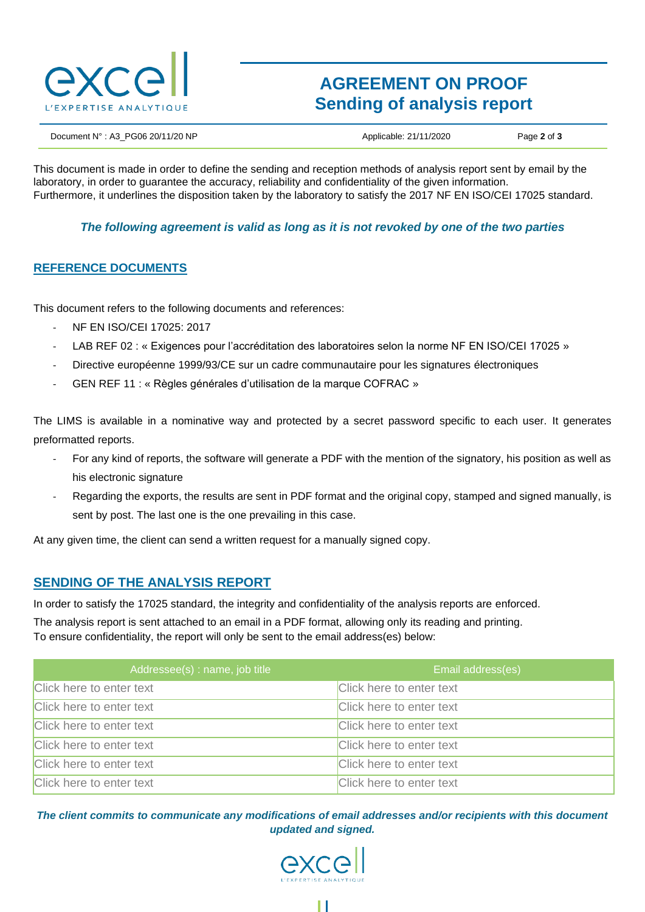

## **AGREEMENT ON PROOF Sending of analysis report**

Document N° : A3\_PG06 20/11/20 NP Applicable: 21/11/2020 Page **2** of **3**

This document is made in order to define the sending and reception methods of analysis report sent by email by the laboratory, in order to guarantee the accuracy, reliability and confidentiality of the given information. Furthermore, it underlines the disposition taken by the laboratory to satisfy the 2017 NF EN ISO/CEI 17025 standard.

#### *The following agreement is valid as long as it is not revoked by one of the two parties*

#### **REFERENCE DOCUMENTS**

This document refers to the following documents and references:

- NF EN ISO/CEI 17025: 2017
- LAB REF 02 : « Exigences pour l'accréditation des laboratoires selon la norme NF EN ISO/CEI 17025 »
- Directive européenne 1999/93/CE sur un cadre communautaire pour les signatures électroniques
- GEN REF 11 : « Règles générales d'utilisation de la marque COFRAC »

The LIMS is available in a nominative way and protected by a secret password specific to each user. It generates preformatted reports.

- For any kind of reports, the software will generate a PDF with the mention of the signatory, his position as well as his electronic signature
- Regarding the exports, the results are sent in PDF format and the original copy, stamped and signed manually, is sent by post. The last one is the one prevailing in this case.

At any given time, the client can send a written request for a manually signed copy.

### **SENDING OF THE ANALYSIS REPORT**

In order to satisfy the 17025 standard, the integrity and confidentiality of the analysis reports are enforced.

The analysis report is sent attached to an email in a PDF format, allowing only its reading and printing. To ensure confidentiality, the report will only be sent to the email address(es) below:

| Addressee(s): name, job title | Email address(es)        |
|-------------------------------|--------------------------|
| Click here to enter text      | Click here to enter text |
| Click here to enter text      | Click here to enter text |
| Click here to enter text      | Click here to enter text |
| Click here to enter text      | Click here to enter text |
| Click here to enter text      | Click here to enter text |
| Click here to enter text      | Click here to enter text |

*The client commits to communicate any modifications of email addresses and/or recipients with this document updated and signed.*